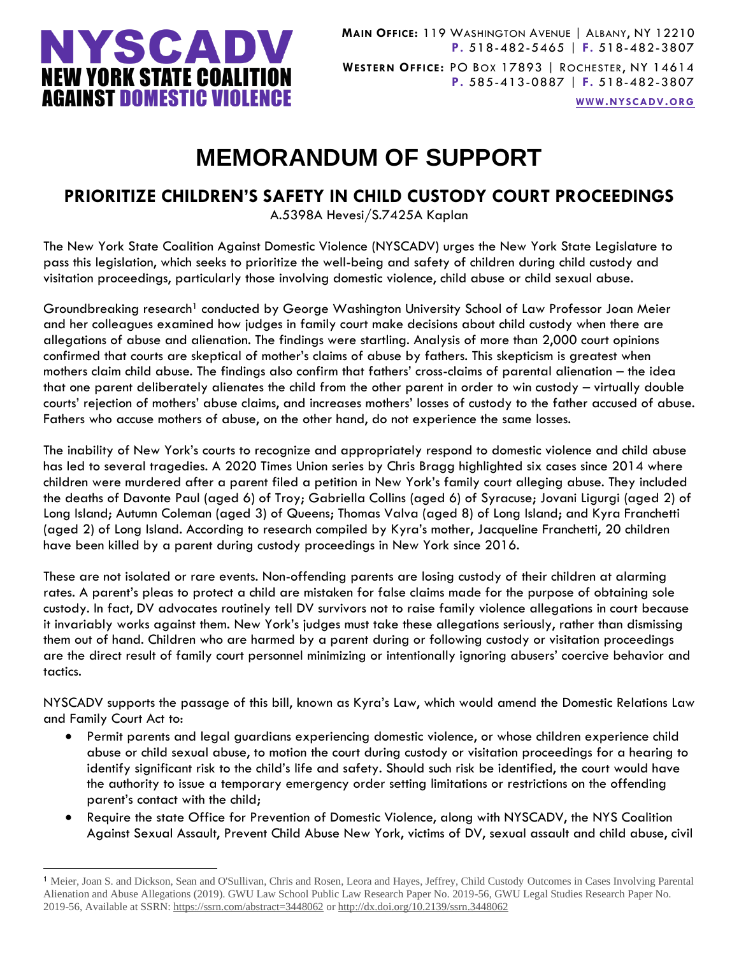

**WWW.[NYSCADV](file://///server/data/Official%20Documents/NYSCADV%20Logo%20&%20Branding/2015%20Letterhead/www.nyscadv.org).ORG**

## **MEMORANDUM OF SUPPORT**

## **PRIORITIZE CHILDREN'S SAFETY IN CHILD CUSTODY COURT PROCEEDINGS**

A.5398A Hevesi/S.7425A Kaplan

The New York State Coalition Against Domestic Violence (NYSCADV) urges the New York State Legislature to pass this legislation, which seeks to prioritize the well-being and safety of children during child custody and visitation proceedings, particularly those involving domestic violence, child abuse or child sexual abuse.

Groundbreaking research<sup>1</sup> conducted by George Washington University School of Law Professor Joan Meier and her colleagues examined how judges in family court make decisions about child custody when there are allegations of abuse and alienation. The findings were startling. Analysis of more than 2,000 court opinions confirmed that courts are skeptical of mother's claims of abuse by fathers. This skepticism is greatest when mothers claim child abuse. The findings also confirm that fathers' cross-claims of parental alienation – the idea that one parent deliberately alienates the child from the other parent in order to win custody – virtually double courts' rejection of mothers' abuse claims, and increases mothers' losses of custody to the father accused of abuse. Fathers who accuse mothers of abuse, on the other hand, do not experience the same losses.

The inability of New York's courts to recognize and appropriately respond to domestic violence and child abuse has led to several tragedies. A 2020 Times Union series by Chris Bragg highlighted six cases since 2014 where children were murdered after a parent filed a petition in New York's family court alleging abuse. They included the deaths of Davonte Paul (aged 6) of Troy; Gabriella Collins (aged 6) of Syracuse; Jovani Ligurgi (aged 2) of Long Island; Autumn Coleman (aged 3) of Queens; Thomas Valva (aged 8) of Long Island; and Kyra Franchetti (aged 2) of Long Island. According to research compiled by Kyra's mother, Jacqueline Franchetti, 20 children have been killed by a parent during custody proceedings in New York since 2016.

These are not isolated or rare events. Non-offending parents are losing custody of their children at alarming rates. A parent's pleas to protect a child are mistaken for false claims made for the purpose of obtaining sole custody. In fact, DV advocates routinely tell DV survivors not to raise family violence allegations in court because it invariably works against them. New York's judges must take these allegations seriously, rather than dismissing them out of hand. Children who are harmed by a parent during or following custody or visitation proceedings are the direct result of family court personnel minimizing or intentionally ignoring abusers' coercive behavior and tactics.

NYSCADV supports the passage of this bill, known as Kyra's Law, which would amend the Domestic Relations Law and Family Court Act to:

- Permit parents and legal guardians experiencing domestic violence, or whose children experience child abuse or child sexual abuse, to motion the court during custody or visitation proceedings for a hearing to identify significant risk to the child's life and safety. Should such risk be identified, the court would have the authority to issue a temporary emergency order setting limitations or restrictions on the offending parent's contact with the child;
- Require the state Office for Prevention of Domestic Violence, along with NYSCADV, the NYS Coalition Against Sexual Assault, Prevent Child Abuse New York, victims of DV, sexual assault and child abuse, civil

<sup>1</sup> Meier, Joan S. and Dickson, Sean and O'Sullivan, Chris and Rosen, Leora and Hayes, Jeffrey, Child Custody Outcomes in Cases Involving Parental Alienation and Abuse Allegations (2019). GWU Law School Public Law Research Paper No. 2019-56, GWU Legal Studies Research Paper No. 2019-56, Available at SSRN: <https://ssrn.com/abstract=3448062> or [http://dx.doi.org/10.2139/ssrn.3448062](https://dx.doi.org/10.2139/ssrn.3448062)